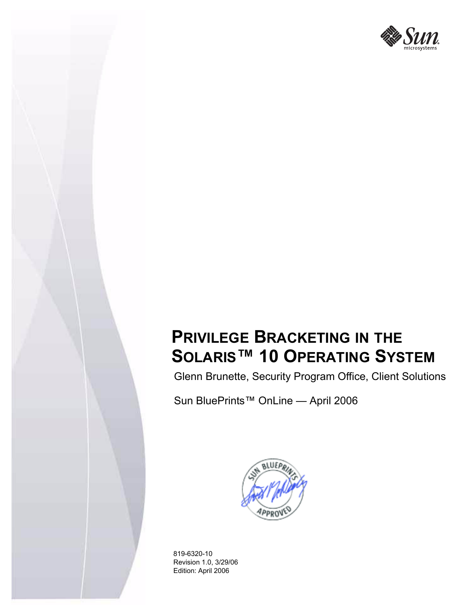

# **PRIVILEGE BRACKETING IN THE SOLARIS™ 10 OPERATING SYSTEM**

Glenn Brunette, Security Program Office, Client Solutions

Sun BluePrints™ OnLine — April 2006



819-6320-10 Revision 1.0, 3/29/06 Edition: April 2006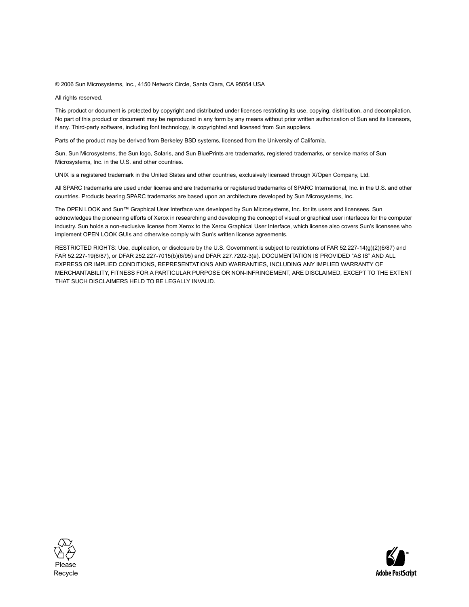© 2006 Sun Microsystems, Inc., 4150 Network Circle, Santa Clara, CA 95054 USA

All rights reserved.

This product or document is protected by copyright and distributed under licenses restricting its use, copying, distribution, and decompilation. No part of this product or document may be reproduced in any form by any means without prior written authorization of Sun and its licensors, if any. Third-party software, including font technology, is copyrighted and licensed from Sun suppliers.

Parts of the product may be derived from Berkeley BSD systems, licensed from the University of California.

Sun, Sun Microsystems, the Sun logo, Solaris, and Sun BluePrints are trademarks, registered trademarks, or service marks of Sun Microsystems, Inc. in the U.S. and other countries.

UNIX is a registered trademark in the United States and other countries, exclusively licensed through X/Open Company, Ltd.

All SPARC trademarks are used under license and are trademarks or registered trademarks of SPARC International, Inc. in the U.S. and other countries. Products bearing SPARC trademarks are based upon an architecture developed by Sun Microsystems, Inc.

The OPEN LOOK and Sun™ Graphical User Interface was developed by Sun Microsystems, Inc. for its users and licensees. Sun acknowledges the pioneering efforts of Xerox in researching and developing the concept of visual or graphical user interfaces for the computer industry. Sun holds a non-exclusive license from Xerox to the Xerox Graphical User Interface, which license also covers Sun's licensees who implement OPEN LOOK GUIs and otherwise comply with Sun's written license agreements.

RESTRICTED RIGHTS: Use, duplication, or disclosure by the U.S. Government is subject to restrictions of FAR 52.227-14(g)(2)(6/87) and FAR 52.227-19(6/87), or DFAR 252.227-7015(b)(6/95) and DFAR 227.7202-3(a). DOCUMENTATION IS PROVIDED "AS IS" AND ALL EXPRESS OR IMPLIED CONDITIONS, REPRESENTATIONS AND WARRANTIES, INCLUDING ANY IMPLIED WARRANTY OF MERCHANTABILITY, FITNESS FOR A PARTICULAR PURPOSE OR NON-INFRINGEMENT, ARE DISCLAIMED, EXCEPT TO THE EXTENT THAT SUCH DISCLAIMERS HELD TO BE LEGALLY INVALID.



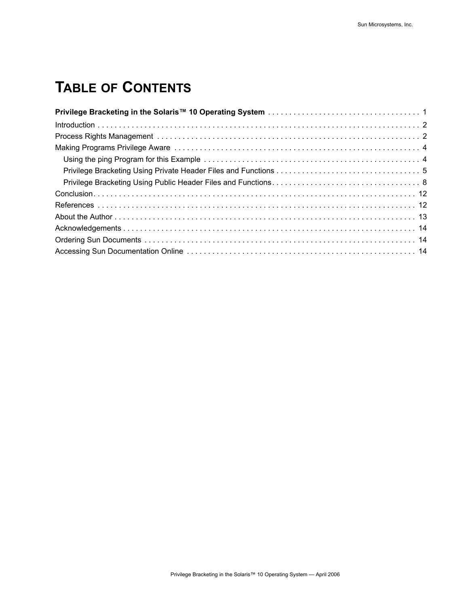# **TABLE OF CONTENTS**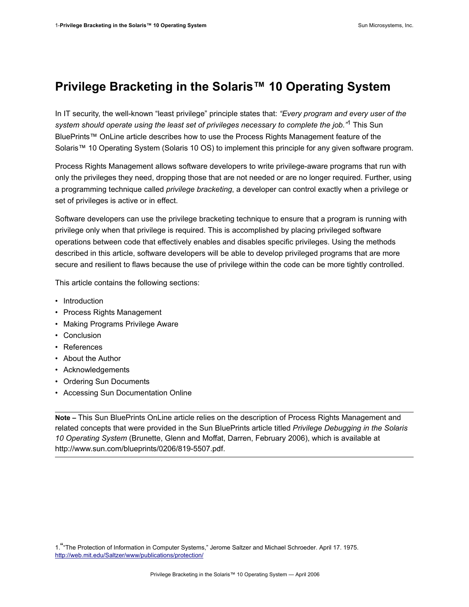# <span id="page-3-0"></span>**Privilege Bracketing in the Solaris™ 10 Operating System**

In IT security, the well-known "least privilege" principle states that: *"Every program and every user of the system should operate using the least set of privileges necessary to complete the job."*<sup>1</sup> This Sun BluePrints™ OnLine article describes how to use the Process Rights Management feature of the Solaris™ 10 Operating System (Solaris 10 OS) to implement this principle for any given software program.

Process Rights Management allows software developers to write privilege-aware programs that run with only the privileges they need, dropping those that are not needed or are no longer required. Further, using a programming technique called *privilege bracketing*, a developer can control exactly when a privilege or set of privileges is active or in effect.

Software developers can use the privilege bracketing technique to ensure that a program is running with privilege only when that privilege is required. This is accomplished by placing privileged software operations between code that effectively enables and disables specific privileges. Using the methods described in this article, software developers will be able to develop privileged programs that are more secure and resilient to flaws because the use of privilege within the code can be more tightly controlled.

This article contains the following sections:

- [Introduction](#page-4-0)
- [Process Rights Management](#page-4-1)
- [Making Programs Privilege Aware](#page-6-0)
- [Conclusion](#page-14-0)
- [References](#page-14-1)
- [About the Author](#page-15-0)
- [Acknowledgements](#page-16-0)
- [Ordering Sun Documents](#page-16-1)
- [Accessing Sun Documentation Online](#page-16-2)

**Note –** This Sun BluePrints OnLine article relies on the description of Process Rights Management and related concepts that were provided in the Sun BluePrints article titled *Privilege Debugging in the Solaris 10 Operating System* [\(Brunette, Glenn and Moffat, Darren, February 2006\), which is available at](http://www.sun.com/blueprints/0206/819-5507.pdf)  [http://www.sun.com/blueprints/0206/819-5507.pdf.](http://www.sun.com/blueprints/0206/819-5507.pdf)

1.""The Protection of Information in Computer Systems," Jerome Saltzer and Michael Schroeder. April 17. 1975. http://web.mit.edu/Saltzer/www/publications/protection/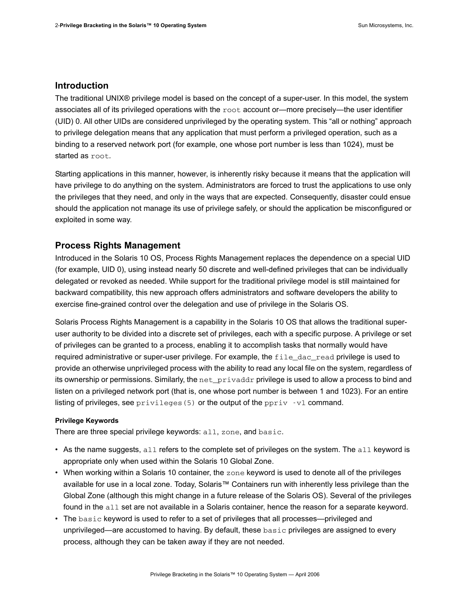# <span id="page-4-0"></span>**Introduction**

The traditional UNIX® privilege model is based on the concept of a super-user. In this model, the system associates all of its privileged operations with the root account or—more precisely—the user identifier (UID) 0. All other UIDs are considered unprivileged by the operating system. This "all or nothing" approach to privilege delegation means that any application that must perform a privileged operation, such as a binding to a reserved network port (for example, one whose port number is less than 1024), must be started as root*.*

Starting applications in this manner, however, is inherently risky because it means that the application will have privilege to do anything on the system. Administrators are forced to trust the applications to use only the privileges that they need, and only in the ways that are expected. Consequently, disaster could ensue should the application not manage its use of privilege safely, or should the application be misconfigured or exploited in some way.

# <span id="page-4-1"></span>**Process Rights Management**

Introduced in the Solaris 10 OS, Process Rights Management replaces the dependence on a special UID (for example, UID 0), using instead nearly 50 discrete and well-defined privileges that can be individually delegated or revoked as needed. While support for the traditional privilege model is still maintained for backward compatibility, this new approach offers administrators and software developers the ability to exercise fine-grained control over the delegation and use of privilege in the Solaris OS.

Solaris Process Rights Management is a capability in the Solaris 10 OS that allows the traditional superuser authority to be divided into a discrete set of privileges, each with a specific purpose. A privilege or set of privileges can be granted to a process, enabling it to accomplish tasks that normally would have required administrative or super-user privilege. For example, the file dac read privilege is used to provide an otherwise unprivileged process with the ability to read any local file on the system, regardless of its ownership or permissions. Similarly, the net\_privaddr privilege is used to allow a process to bind and listen on a privileged network port (that is, one whose port number is between 1 and 1023). For an entire listing of privileges, see  $\text{priv}$  leges (5) or the output of the  $\text{priv}$  -vl command.

#### **Privilege Keywords**

There are three special privilege keywords: all, zone, and basic.

- As the name suggests,  $a11$  refers to the complete set of privileges on the system. The  $a11$  keyword is appropriate only when used within the Solaris 10 Global Zone.
- When working within a Solaris 10 container, the  $z$ one keyword is used to denote all of the privileges available for use in a local zone. Today, Solaris™ Containers run with inherently less privilege than the Global Zone (although this might change in a future release of the Solaris OS). Several of the privileges found in the all set are not available in a Solaris container, hence the reason for a separate keyword.
- The basic keyword is used to refer to a set of privileges that all processes—privileged and unprivileged—are accustomed to having. By default, these basic privileges are assigned to every process, although they can be taken away if they are not needed.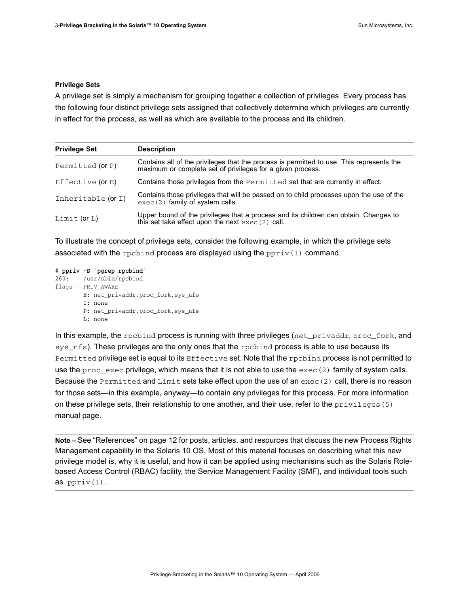#### <span id="page-5-0"></span>**Privilege Sets**

A privilege set is simply a mechanism for grouping together a collection of privileges. Every process has the following four distinct privilege sets assigned that collectively determine which privileges are currently in effect for the process, as well as which are available to the process and its children.

| <b>Privilege Set</b> | <b>Description</b>                                                                                                                                     |
|----------------------|--------------------------------------------------------------------------------------------------------------------------------------------------------|
| Permitted (or P)     | Contains all of the privileges that the process is permitted to use. This represents the<br>maximum or complete set of privileges for a given process. |
| Effective (or E)     | Contains those privileges from the Permitted set that are currently in effect.                                                                         |
| Inheritable (or I)   | Contains those privileges that will be passed on to child processes upon the use of the<br>$exec(2)$ family of system calls.                           |
| Limit (or L)         | Upper bound of the privileges that a process and its children can obtain. Changes to<br>this set take effect upon the next exec (2) call.              |

To illustrate the concept of privilege sets, consider the following example, in which the privilege sets associated with the rpcbind process are displayed using the  $ppriv(1)$  command.

# **ppriv -S `pgrep rpcbind`** 260: /usr/sbin/rpcbind flags = PRIV\_AWARE E: net\_privaddr,proc\_fork,sys\_nfs I: none P: net\_privaddr,proc\_fork,sys\_nfs L: none

In this example, the rpcbind process is running with three privileges (net privaddr, proc\_fork, and sys\_nfs). These privileges are the only ones that the rpcbind process is able to use because its Permitted privilege set is equal to its Effective set. Note that the rpcbind process is not permitted to use the proc\_exec privilege, which means that it is not able to use the [exec\(2\)](http://docs.sun.com/app/docs/doc/816-5167/6mbb2jafk?a=view) family of system calls. Because the Permitted and Limit sets take effect upon the use of an  $exec(2)$  call, there is no reason for those sets—in this example, anyway—to contain any privileges for this process. For more information on these privilege sets, their relationship to one another, and their use, refer to the [privileges\(5\)](http://docs.sun.com/app/docs/doc/816-5175/6mbba7f3a?a=view) manual page.

**Note –** See ["References" on page](#page-14-1) 12 for posts, articles, and resources that discuss the new Process Rights Management capability in the Solaris 10 OS. Most of this material focuses on describing what this new privilege model is, why it is useful, and how it can be applied using mechanisms such as the Solaris Rolebased Access Control (RBAC) facility, the Service Management Facility (SMF), and individual tools such as  $ppriv(1)$ .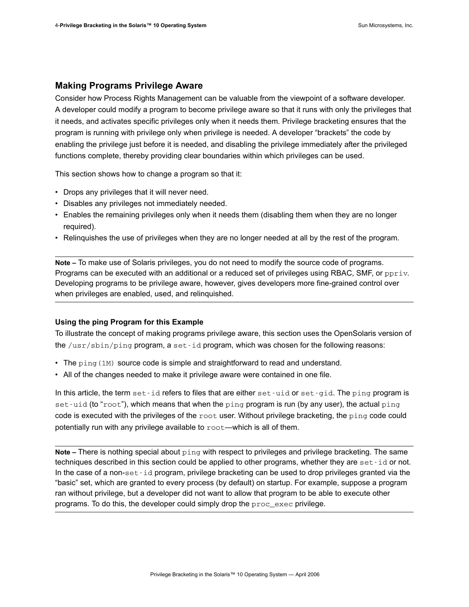# <span id="page-6-0"></span>**Making Programs Privilege Aware**

Consider how Process Rights Management can be valuable from the viewpoint of a software developer. A developer could modify a program to become privilege aware so that it runs with only the privileges that it needs, and activates specific privileges only when it needs them. Privilege bracketing ensures that the program is running with privilege only when privilege is needed. A developer "brackets" the code by enabling the privilege just before it is needed, and disabling the privilege immediately after the privileged functions complete, thereby providing clear boundaries within which privileges can be used.

This section shows how to change a program so that it:

- Drops any privileges that it will never need.
- Disables any privileges not immediately needed.
- Enables the remaining privileges only when it needs them (disabling them when they are no longer required).
- Relinquishes the use of privileges when they are no longer needed at all by the rest of the program.

**Note –** To make use of Solaris privileges, you do not need to modify the source code of programs. Programs can be executed with an additional or a reduced set of privileges using RBAC, SMF, or ppriv. Developing programs to be privilege aware, however, gives developers more fine-grained control over when privileges are enabled, used, and relinquished.

#### <span id="page-6-1"></span>**Using the ping Program for this Example**

To illustrate the concept of making programs privilege aware, this section uses the OpenSolaris version of the /usr/sbin/ping program, a set-id program, which was chosen for the following reasons:

- The  $\pi$ ing (1M) source code is simple and straightforward to read and understand.
- All of the changes needed to make it privilege aware were contained in one file.

In this article, the term set-id refers to files that are either set-uid or set-gid. The ping program is set-uid (to "root"), which means that when the ping program is run (by any user), the actual ping code is executed with the privileges of the root user. Without privilege bracketing, the ping code could potentially run with any privilege available to root—which is all of them.

**Note – There is nothing special about**  $\text{ping}$  **with respect to privileges and privilege bracketing. The same** techniques described in this section could be applied to other programs, whether they are set-id or not. In the case of a non-set-id program, privilege bracketing can be used to drop privileges granted via the "basic" set, which are granted to every process (by default) on startup. For example, suppose a program ran without privilege, but a developer did not want to allow that program to be able to execute other programs. To do this, the developer could simply drop the proc\_exec privilege.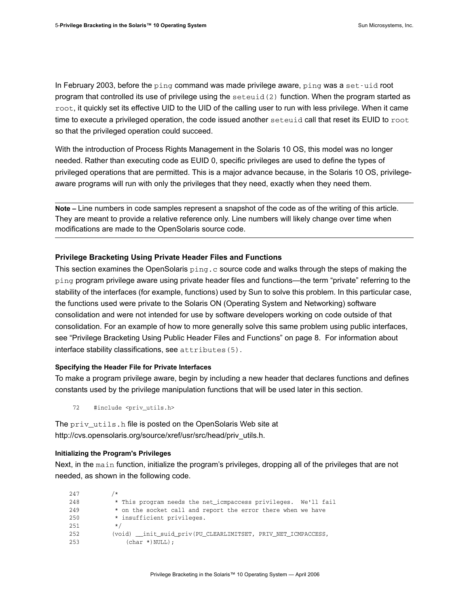In February 2003, before the  $\frac{1}{2}$  command was made privilege aware,  $\frac{1}{2}$  and was a set-uid root program that controlled its use of privilege using the [seteuid\(2\)](http://docs.sun.com/app/docs/doc/816-5167/6mbb2jakd?a=view) function. When the program started as root, it quickly set its effective UID to the UID of the calling user to run with less privilege. When it came time to execute a privileged operation, the code issued another [seteuid](http://docs.sun.com/app/docs/doc/816-5167/6mbb2jakd?a=view) call that reset its EUID to root so that the privileged operation could succeed.

With the introduction of Process Rights Management in the Solaris 10 OS, this model was no longer needed. Rather than executing code as EUID 0, specific privileges are used to define the types of privileged operations that are permitted. This is a major advance because, in the Solaris 10 OS, privilegeaware programs will run with only the privileges that they need, exactly when they need them.

**Note –** Line numbers in code samples represent a snapshot of the code as of the writing of this article. They are meant to provide a relative reference only. Line numbers will likely change over time when modifications are made to the OpenSolaris source code.

#### <span id="page-7-0"></span>**Privilege Bracketing Using Private Header Files and Functions**

This section examines the OpenSolaris  $\text{ping.c}$  source code and walks through the steps of making the ping program privilege aware using private header files and functions—the term "private" referring to the stability of the interfaces (for example, functions) used by Sun to solve this problem. In this particular case, the functions used were private to the Solaris ON (Operating System and Networking) software consolidation and were not intended for use by software developers working on code outside of that consolidation. For an example of how to more generally solve this same problem using public interfaces, see ["Privilege Bracketing Using Public Header Files and Functions" on page](#page-10-0) 8. For information about interface stability classifications, see [attributes\(5\)](http://docs.sun.com/app/docs/doc/816-5175/6mbba7evc?a=view).

### **Specifying the Header File for Private Interfaces**

To make a program privilege aware, begin by including a new header that declares functions and defines constants used by the privilege manipulation functions that will be used later in this section.

72 #include <priv\_utils.h>

The privutils.h [file is posted on the OpenSolaris Web site at](http://cvs.opensolaris.org/source/xref/usr/src/head/priv_utils.h) [http://cvs.opensolaris.org/source/xref/usr/src/head/priv\\_utils.h.](http://cvs.opensolaris.org/source/xref/usr/src/head/priv_utils.h)

#### <span id="page-7-1"></span>**Initializing the Program's Privileges**

Next, in the main function, initialize the program's privileges, dropping all of the privileges that are not needed, as shown in the following code.

 $247$  248 \* This program needs the net\_icmpaccess privileges. We'll fail 249 \* on the socket call and report the error there when we have 250 \* insufficient privileges. 251  $\star$ / 252 (void) \_\_init\_suid\_priv(PU\_CLEARLIMITSET, PRIV\_NET\_ICMPACCESS, 253 (char \*)NULL);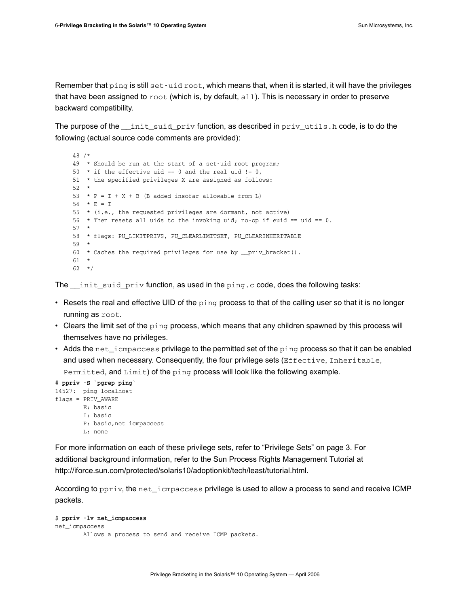Remember that  $\frac{p}{p}$  is still set-uid root, which means that, when it is started, it will have the privileges that have been assigned to  $root$  (which is, by default,  $a11$ ). This is necessary in order to preserve backward compatibility.

The purpose of the  $\__$ init $\__$ suid $\__$ priv function, as described in priv $\__$ utils.h code, is to do the following (actual source code comments are provided):

```
 48 /*
 49 * Should be run at the start of a set-uid root program;
50 * if the effective uid == 0 and the real uid != 0,
 51 * the specified privileges X are assigned as follows:
 52 *
53 * P = I + X + B (B added insofar allowable from L)
54 \star E = I
 55 * (i.e., the requested privileges are dormant, not active)
56 * Then resets all uids to the invoking uid; no-op if euid == uid == 0.
 57 *
 58 * flags: PU_LIMITPRIVS, PU_CLEARLIMITSET, PU_CLEARINHERITABLE
 59 *
 60 * Caches the required privileges for use by __priv_bracket().
 61 *
 62 */
```
The  $\pm$  init suid priv function, as used in the ping.c code, does the following tasks:

- Resets the real and effective UID of the  $\frac{p \text{ in } q}{p \text{ of } q}$  process to that of the calling user so that it is no longer running as root.
- Clears the limit set of the  $\frac{p_{\text{in}}}{p_{\text{out}}}$  process, which means that any children spawned by this process will themselves have no privileges.
- Adds the  $net\_i$  cmpaccess privilege to the permitted set of the ping process so that it can be enabled and used when necessary. Consequently, the four privilege sets (Effective, Inheritable, Permitted, and Limit) of the ping process will look like the following example.

```
# ppriv -S `pgrep ping`
14527: ping localhost
flags = PRIV_AWARE
        E: basic
        I: basic
        P: basic,net_icmpaccess
         L: none
```
[For more information on each of these privilege sets, refer to "Privilege Sets" on page](http://iforce.sun.com/protected/solaris10/adoptionkit/tech/least/tutorial.html) 3. For additional background information, refer to the Sun Process Rights Management Tutorial at http://iforce.sun.com/protected/solaris10/adoptionkit/tech/least/tutorial.html.

According to ppriv, the net\_icmpaccess privilege is used to allow a process to send and receive ICMP packets.

```
$ ppriv -lv net_icmpaccess
net_icmpaccess
        Allows a process to send and receive ICMP packets.
```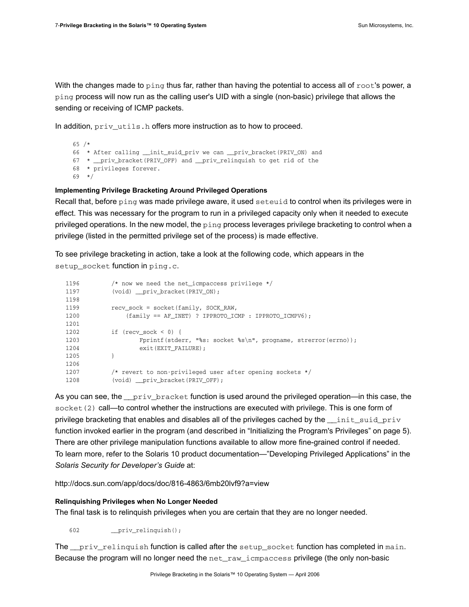With the changes made to  $\frac{p}{p \cdot n}$  thus far, rather than having the potential to access all of  $\frac{p}{p \cdot p}$  power, a ping process will now run as the calling user's UID with a single (non-basic) privilege that allows the sending or receiving of ICMP packets.

In addition, priv\_utils.h offers more instruction as to how to proceed.

```
 65 /*
 66 * After calling __init_suid_priv we can __priv_bracket(PRIV_ON) and
 67 * __priv_bracket(PRIV_OFF) and __priv_relinquish to get rid of the
 68 * privileges forever.
 69 */
```
### **Implementing Privilege Bracketing Around Privileged Operations**

Recall that, before ping was made privilege aware, it used [seteuid](http://docs.sun.com/app/docs/doc/816-5167/6mbb2jakd?a=view) to control when its privileges were in effect. This was necessary for the program to run in a privileged capacity only when it needed to execute privileged operations. In the new model, the  $\frac{p_{\text{inq}}}{p_{\text{inq}}}$  process leverages privilege bracketing to control when a privilege (listed in the permitted privilege set of the process) is made effective.

To see privilege bracketing in action, take a look at the following code, which appears in the setup\_socket function in ping.c.

```
 1196 /* now we need the net_icmpaccess privilege */
1197 (void) __ priv_bracket(PRIV_ON);
 1198
 1199 recv_sock = socket(family, SOCK_RAW,
 1200 (family == AF_INET) ? IPPROTO_ICMP : IPPROTO_ICMPV6);
 1201
 1202 if (recv_sock < 0) {
1203 Fprintf(stderr, "%s: socket %s\n", progname, strerror(errno));
1204 exit(EXIT_FAILURE);
 1205 }
 1206
 1207 /* revert to non-privileged user after opening sockets */
1208 (void) __priv_bracket(PRIV_OFF);
```
As you can see, the *priv\_bracket function is used around the privileged operation—in this case*, the socket (2) call—to control whether the instructions are executed with privilege. This is one form of privilege bracketing that enables and disables all of the privileges cached by the *\_\_init\_suid\_priv* function invoked earlier in the program (and described in ["Initializing the Program's Privileges" on page](#page-7-1) 5). There are other privilege manipulation functions available to allow more fine-grained control if needed. To learn more, refer to the Solaris 10 product documentation—"Developing Privileged Applications" in the *Solaris Security for Developer's Guide* at:

http://docs.sun.com/app/docs/doc/816-4863/6mb20lvf9?a=view

#### **Relinquishing Privileges when No Longer Needed**

The final task is to relinquish privileges when you are certain that they are no longer needed.

602 \_\_priv\_relinquish();

The \_\_priv\_relinquish function is called after the setup\_socket function has completed in main. Because the program will no longer need the net\_raw\_icmpaccess privilege (the only non-basic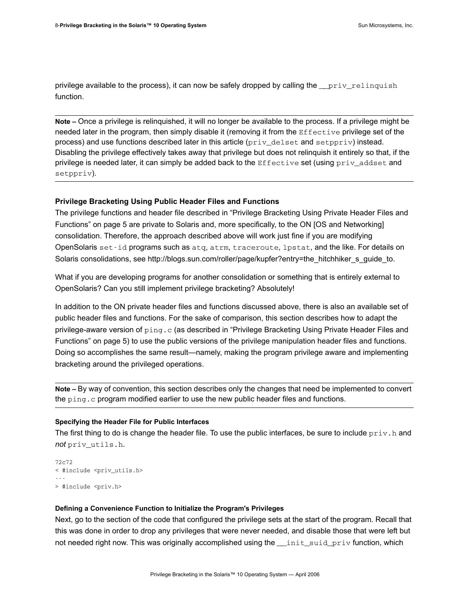privilege available to the process), it can now be safely dropped by calling the  $_{\rm {priv}}$  relinguish function.

**Note –** Once a privilege is relinquished, it will no longer be available to the process. If a privilege might be needed later in the program, then simply disable it (removing it from the Effective privilege set of the process) and use functions described later in this article ( $\text{priv\_delete}$  and setppriv) instead. Disabling the privilege effectively takes away that privilege but does not relinquish it entirely so that, if the privilege is needed later, it can simply be added back to the Effective set (using priv\_addset and setppriv).

#### <span id="page-10-0"></span>**Privilege Bracketing Using Public Header Files and Functions**

The privilege functions and header file described in ["Privilege Bracketing Using Private Header Files and](#page-7-0)  [Functions" on page](#page-7-0) 5 are private to Solaris and, more specifically, to the ON [OS and Networking] consolidation. Therefore, the approach described above will work just fine if you are modifying OpenSolaris set-id programs such as atq, atrm, traceroute, lpstat[, and the like. For details on](http://blogs.sun.com/roller/page/kupfer?entry=the_hitchhiker_s_guide_to)  [Solaris consolidations, see http://blogs.sun.com/roller/page/kupfer?entry=the\\_hitchhiker\\_s\\_guide\\_to.](http://blogs.sun.com/roller/page/kupfer?entry=the_hitchhiker_s_guide_to)

What if you are developing programs for another consolidation or something that is entirely external to OpenSolaris? Can you still implement privilege bracketing? Absolutely!

In addition to the ON private header files and functions discussed above, there is also an available set of public header files and functions. For the sake of comparison, this section describes how to adapt the privilege-aware version of ping.c (as described in ["Privilege Bracketing Using Private Header Files and](#page-7-0)  [Functions" on page](#page-7-0) 5) to use the public versions of the privilege manipulation header files and functions. Doing so accomplishes the same result—namely, making the program privilege aware and implementing bracketing around the privileged operations.

**Note –** By way of convention, this section describes only the changes that need be implemented to convert the  $\text{ping.c}$  program modified earlier to use the new public header files and functions.

#### **Specifying the Header File for Public Interfaces**

The first thing to do is change the header file. To use the public interfaces, be sure to include  $\text{priv.}\,h$  and *not* priv\_utils.h.

72c72 < #include <priv\_utils.h> --- > #include <priv.h>

#### **Defining a Convenience Function to Initialize the Program's Privileges**

Next, go to the section of the code that configured the privilege sets at the start of the program. Recall that this was done in order to drop any privileges that were never needed, and disable those that were left but not needed right now. This was originally accomplished using the *\_\_init\_suid priv function*, which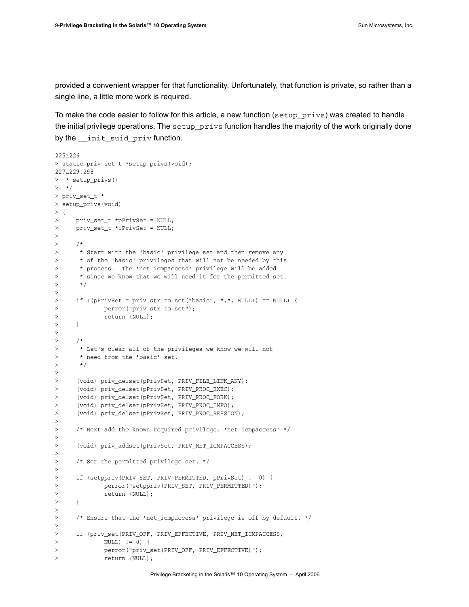provided a convenient wrapper for that functionality. Unfortunately, that function is private, so rather than a single line, a little more work is required.

To make the code easier to follow for this article, a new function (setup  $\frac{p}{p}$  privs) was created to handle the initial privilege operations. The setup\_privs function handles the majority of the work originally done by the *\_\_init\_suid\_priv* function.

```
225a226
> static priv_set_t *setup_privs(void);
227a229,298
> * setup_privs()
> */
> priv_set_t *
> setup_privs(void)
> {
> priv_set_t *pPrivSet = NULL;
> priv_set_t *lPrivSet = NULL;
>
> /*
> * Start with the 'basic' privilege set and then remove any
> * of the 'basic' privileges that will not be needed by this
> * process. The 'net_icmpaccess' privilege will be added
> * since we know that we will need it for the permitted set.
> */
>
> if ((pPrivSet = priv_str_to_set("basic", ",", NULL)) == NULL) {
> perror("priv_str_to_set");
> return (NULL);
>\qquad \qquad \}>
> /*
> * Let's clear all of the privileges we know we will not
> * need from the 'basic' set.
> */
>
> (void) priv_delset(pPrivSet, PRIV_FILE_LINK_ANY);
> (void) priv_delset(pPrivSet, PRIV_PROC_EXEC);
> (void) priv_delset(pPrivSet, PRIV_PROC_FORK);
> (void) priv_delset(pPrivSet, PRIV_PROC_INFO);
> (void) priv_delset(pPrivSet, PRIV_PROC_SESSION);
>
> /* Next add the known required privilege, 'net_icmpaccess' */
>
> (void) priv_addset(pPrivSet, PRIV_NET_ICMPACCESS);
>
> /* Set the permitted privilege set. */
>
> if (setppriv(PRIV_SET, PRIV_PERMITTED, pPrivSet) != 0) {
> perror("setppriv(PRIV_SET, PRIV_PERMITTED)");
> return (NULL);
> }
>
> /* Ensure that the 'net_icmpaccess' privilege is off by default. */
>
> if (priv_set(PRIV_OFF, PRIV_EFFECTIVE, PRIV_NET_ICMPACCESS,
> NULL) != 0) {
> perror("priv_set(PRIV_OFF, PRIV_EFFECTIVE)");
> return (NULL);
```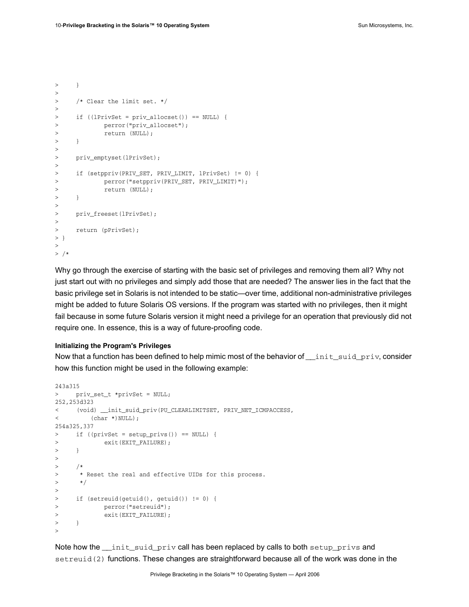```
> }
>
> /* Clear the limit set. */
>
> if ((lPrivSet = priv_allocset()) == NULL) {
> perror("priv_allocset");
> return (NULL);
> }
>
> priv_emptyset(lPrivSet);
>
> if (setppriv(PRIV_SET, PRIV_LIMIT, lPrivSet) != 0) {
> perror("setppriv(PRIV_SET, PRIV_LIMIT)");
> return (NULL);
> }
>
> priv_freeset(lPrivSet);
>
> return (pPrivSet);
> }
>
> /*
```
Why go through the exercise of starting with the basic set of privileges and removing them all? Why not just start out with no privileges and simply add those that are needed? The answer lies in the fact that the basic privilege set in Solaris is not intended to be static—over time, additional non-administrative privileges might be added to future Solaris OS versions. If the program was started with no privileges, then it might fail because in some future Solaris version it might need a privilege for an operation that previously did not require one. In essence, this is a way of future-proofing code.

#### **Initializing the Program's Privileges**

Now that a function has been defined to help mimic most of the behavior of *\_\_init\_suid\_priv*, consider how this function might be used in the following example:

```
243a315
> priv_set_t *privSet = NULL;
252,253d323
< (void) __init_suid_priv(PU_CLEARLIMITSET, PRIV_NET_ICMPACCESS,
\langle (char *) NULL);
254a325,337
> if ((privSet = setup_privs()) == NULL) {
> exit(EXIT_FAILURE);
> }
\sim> /*
> * Reset the real and effective UIDs for this process.
> */
>
> if (setreuid(getuid(), getuid()) != 0) {
> perror("setreuid");
> exit(EXIT_FAILURE);
> }
>
```
Note how the *\_\_init\_suid\_priv* call has been replaced by calls to both setup\_privs and set reuid(2) functions. These changes are straightforward because all of the work was done in the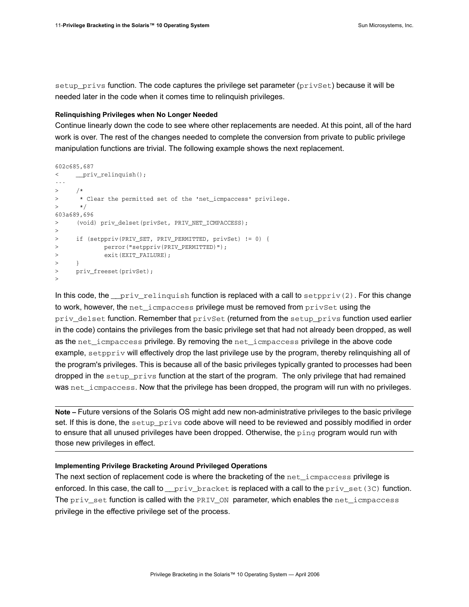setup privs function. The code captures the privilege set parameter (privSet) because it will be needed later in the code when it comes time to relinquish privileges.

#### **Relinquishing Privileges when No Longer Needed**

Continue linearly down the code to see where other replacements are needed. At this point, all of the hard work is over. The rest of the changes needed to complete the conversion from private to public privilege manipulation functions are trivial. The following example shows the next replacement.

```
602c685,687
< __priv_relinquish();
---
> /*
> * Clear the permitted set of the 'net icmpaccess' privilege.
> */
603a689,696
> (void) priv delset(privSet, PRIV NET ICMPACCESS);
\ddot{\phantom{1}}> if (setppriv(PRIV_SET, PRIV_PERMITTED, privSet) != 0) {
> perror("setppriv(PRIV_PERMITTED)");
> exit(EXIT_FAILURE);
> }
> priv_freeset(privSet);
>
```
In this code, the  $\_priv\_relinguish$  function is replaced with a call to [setppriv\(2\)](http://docs.sun.com/app/docs/doc/816-5167/6mbb2jakk?a=view). For this change to work, however, the net\_icmpaccess privilege must be removed from privSet using the priv\_delset function. Remember that privSet (returned from the setup\_privs function used earlier in the code) contains the privileges from the basic privilege set that had not already been dropped, as well as the net\_icmpaccess privilege. By removing the net\_icmpaccess privilege in the above code example, setppriv will effectively drop the last privilege use by the program, thereby relinquishing all of the program's privileges. This is because all of the basic privileges typically granted to processes had been dropped in the setup\_privs function at the start of the program. The only privilege that had remained was net\_icmpaccess. Now that the privilege has been dropped, the program will run with no privileges.

**Note –** Future versions of the Solaris OS might add new non-administrative privileges to the basic privilege set. If this is done, the setup privs code above will need to be reviewed and possibly modified in order to ensure that all unused privileges have been dropped. Otherwise, the  $\frac{1}{2}$  program would run with those new privileges in effect.

#### **Implementing Privilege Bracketing Around Privileged Operations**

The next section of replacement code is where the bracketing of the net\_icmpaccess privilege is enforced. In this case, the call to \_\_priv\_bracket is replaced with a call to the priv\_set(3C) function. The priv set function is called with the PRIV ON parameter, which enables the net icmpaccess privilege in the effective privilege set of the process.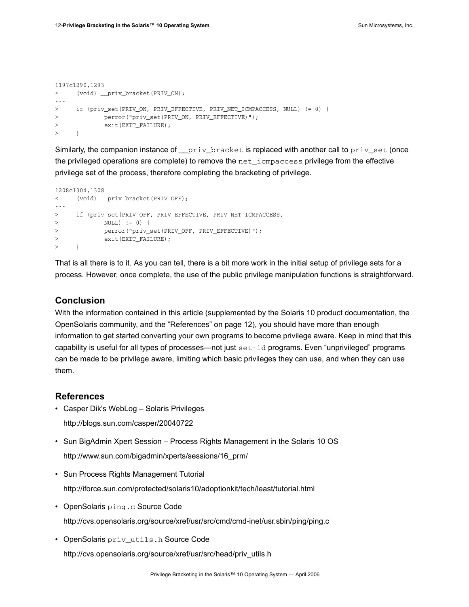```
1197c1290,1293
< (void) __priv_bracket(PRIV_ON);
---
> if (priv_set(PRIV_ON, PRIV_EFFECTIVE, PRIV_NET_ICMPACCESS, NULL) != 0) {
> perror("priv_set(PRIV_ON, PRIV_EFFECTIVE)");
> exit(EXIT_FAILURE);
> }
```
Similarly, the companion instance of priv\_bracket is replaced with another call to priv\_set (once the privileged operations are complete) to remove the net\_icmpaccess privilege from the effective privilege set of the process, therefore completing the bracketing of privilege.

```
1208c1304,1308
< (void) __priv_bracket(PRIV_OFF);
---
> if (priv_set(PRIV_OFF, PRIV_EFFECTIVE, PRIV_NET_ICMPACCESS,
> NULL) != 0) {
> perror("priv_set(PRIV_OFF, PRIV_EFFECTIVE)");
> exit(EXIT_FAILURE);
> }
```
That is all there is to it. As you can tell, there is a bit more work in the initial setup of privilege sets for a process. However, once complete, the use of the public privilege manipulation functions is straightforward.

# <span id="page-14-0"></span>**Conclusion**

With the information contained in this article (supplemented by the Solaris 10 product documentation, the OpenSolaris community, and the ["References" on page](#page-14-1) 12), you should have more than enough information to get started converting your own programs to become privilege aware. Keep in mind that this capability is useful for all types of processes—not just set-id programs. Even "unprivileged" programs can be made to be privilege aware, limiting which basic privileges they can use, and when they can use them.

# <span id="page-14-1"></span>**References**

- Casper Dik's WebLog Solaris Privileges <http://blogs.sun.com/casper/20040722>
- Sun BigAdmin Xpert Session Process Rights Management in the Solaris 10 OS [http://www.sun.com/bigadmin/xperts/sessions/16\\_prm/](http://www.sun.com/bigadmin/xperts/sessions/16_prm/)
- Sun Process Rights Management Tutorial <http://iforce.sun.com/protected/solaris10/adoptionkit/tech/least/tutorial.html>
- OpenSolaris ping.c Source Code <http://cvs.opensolaris.org/source/xref/usr/src/cmd/cmd-inet/usr.sbin/ping/ping.c>
- OpenSolaris priv\_utils.h Source Code [http://cvs.opensolaris.org/source/xref/usr/src/head/priv\\_utils.h](http://cvs.opensolaris.org/source/xref/usr/src/head/priv_utils.h)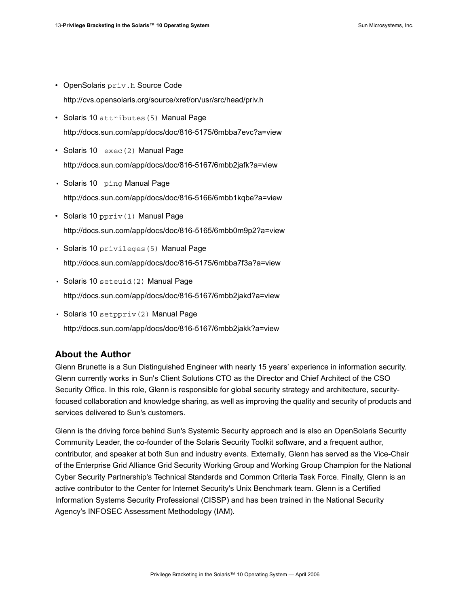- OpenSolaris priv.h Source Code
- <http://cvs.opensolaris.org/source/xref/on/usr/src/head/priv.h>
- Solaris 10 [attributes\(5\)](http://docs.sun.com/app/docs/doc/816-5175/6mbba7evc?a=view) Manual Page <http://docs.sun.com/app/docs/doc/816-5175/6mbba7evc?a=view>
- Solaris 10 [exec\(2\)](http://docs.sun.com/app/docs/doc/816-5167/6mbb2jafk?a=view) Manual Page <http://docs.sun.com/app/docs/doc/816-5167/6mbb2jafk?a=view>
- Solaris 10 [ping](http://docs.sun.com/app/docs/doc/816-5166/6mbb1kqbe?a=view) Manual Page <http://docs.sun.com/app/docs/doc/816-5166/6mbb1kqbe?a=view>
- Solaris 10 [ppriv\(1\)](http://docs.sun.com/app/docs/doc/816-5165/6mbb0m9p2?a=view) Manual Page <http://docs.sun.com/app/docs/doc/816-5165/6mbb0m9p2?a=view>
- Solaris 10 [privileges\(5\)](http://docs.sun.com/app/docs/doc/816-5175/6mbba7f3a?a=view) Manual Page <http://docs.sun.com/app/docs/doc/816-5175/6mbba7f3a?a=view>
- Solaris 10 [seteuid\(2\)](http://docs.sun.com/app/docs/doc/816-5167/6mbb2jakd?a=view) Manual Page <http://docs.sun.com/app/docs/doc/816-5167/6mbb2jakd?a=view>
- Solaris 10 [setppriv\(2\)](http://docs.sun.com/app/docs/doc/816-5167/6mbb2jakk?a=view) Manual Page <http://docs.sun.com/app/docs/doc/816-5167/6mbb2jakk?a=view>

# <span id="page-15-0"></span>**About the Author**

Glenn Brunette is a Sun Distinguished Engineer with nearly 15 years' experience in information security. Glenn currently works in Sun's Client Solutions CTO as the Director and Chief Architect of the CSO Security Office. In this role, Glenn is responsible for global security strategy and architecture, securityfocused collaboration and knowledge sharing, as well as improving the quality and security of products and services delivered to Sun's customers.

Glenn is the driving force behind Sun's Systemic Security approach and is also an OpenSolaris Security Community Leader, the co-founder of the Solaris Security Toolkit software, and a frequent author, contributor, and speaker at both Sun and industry events. Externally, Glenn has served as the Vice-Chair of the Enterprise Grid Alliance Grid Security Working Group and Working Group Champion for the National Cyber Security Partnership's Technical Standards and Common Criteria Task Force. Finally, Glenn is an active contributor to the Center for Internet Security's Unix Benchmark team. Glenn is a Certified Information Systems Security Professional (CISSP) and has been trained in the National Security Agency's INFOSEC Assessment Methodology (IAM).